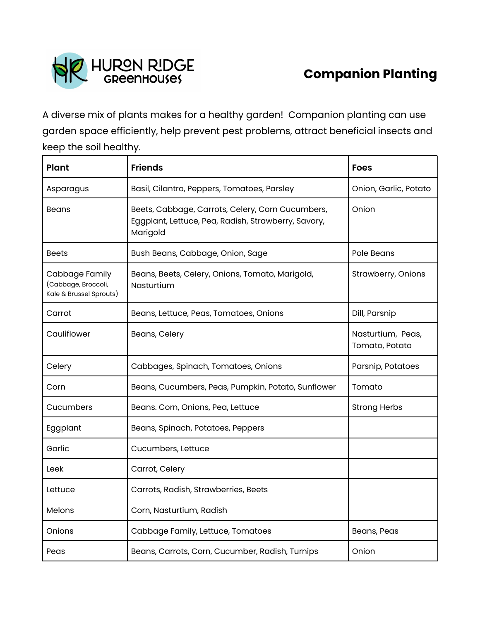

## **Companion Planting**

A diverse mix of plants makes for a healthy garden! Companion planting can use garden space efficiently, help prevent pest problems, attract beneficial insects and keep the soil healthy.

| <b>Plant</b>                                                     | <b>Friends</b>                                                                                                      | <b>Foes</b>                         |
|------------------------------------------------------------------|---------------------------------------------------------------------------------------------------------------------|-------------------------------------|
| Asparagus                                                        | Basil, Cilantro, Peppers, Tomatoes, Parsley                                                                         | Onion, Garlic, Potato               |
| <b>Beans</b>                                                     | Beets, Cabbage, Carrots, Celery, Corn Cucumbers,<br>Eggplant, Lettuce, Pea, Radish, Strawberry, Savory,<br>Marigold | Onion                               |
| <b>Beets</b>                                                     | Bush Beans, Cabbage, Onion, Sage                                                                                    | Pole Beans                          |
| Cabbage Family<br>(Cabbage, Broccoli,<br>Kale & Brussel Sprouts) | Beans, Beets, Celery, Onions, Tomato, Marigold,<br>Nasturtium                                                       | Strawberry, Onions                  |
| Carrot                                                           | Beans, Lettuce, Peas, Tomatoes, Onions                                                                              | Dill, Parsnip                       |
| Cauliflower                                                      | Beans, Celery                                                                                                       | Nasturtium, Peas,<br>Tomato, Potato |
| Celery                                                           | Cabbages, Spinach, Tomatoes, Onions                                                                                 | Parsnip, Potatoes                   |
| Corn                                                             | Beans, Cucumbers, Peas, Pumpkin, Potato, Sunflower                                                                  | Tomato                              |
| Cucumbers                                                        | Beans. Corn, Onions, Pea, Lettuce                                                                                   | <b>Strong Herbs</b>                 |
| Eggplant                                                         | Beans, Spinach, Potatoes, Peppers                                                                                   |                                     |
| Garlic                                                           | Cucumbers, Lettuce                                                                                                  |                                     |
| Leek                                                             | Carrot, Celery                                                                                                      |                                     |
| Lettuce                                                          | Carrots, Radish, Strawberries, Beets                                                                                |                                     |
| <b>Melons</b>                                                    | Corn, Nasturtium, Radish                                                                                            |                                     |
| Onions                                                           | Cabbage Family, Lettuce, Tomatoes                                                                                   | Beans, Peas                         |
| Peas                                                             | Beans, Carrots, Corn, Cucumber, Radish, Turnips                                                                     | Onion                               |